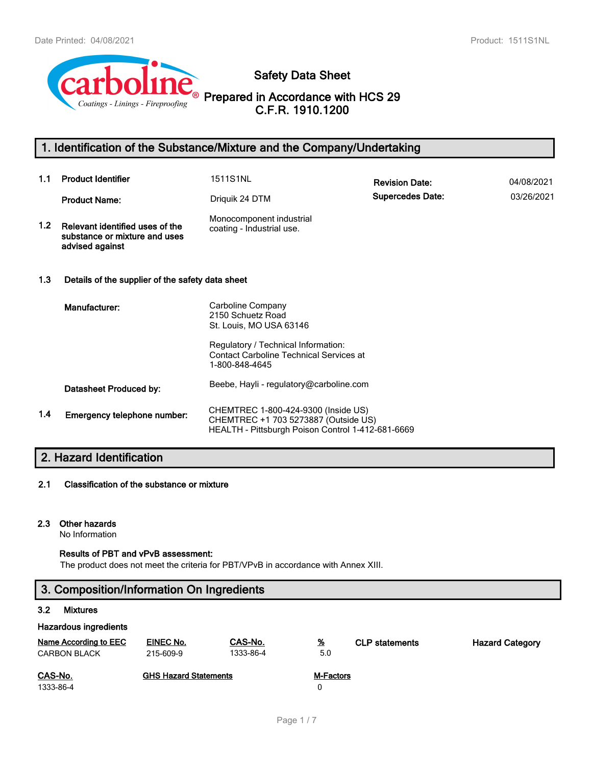

# **Safety Data Sheet**

**Prepared in Accordance with HCS 29 C.F.R. 1910.1200**

# **1. Identification of the Substance/Mixture and the Company/Undertaking**

| 1.1              | <b>Product Identifier</b>                                                           | 1511S1NL                                                                                                                         | <b>Revision Date:</b>   | 04/08/2021 |
|------------------|-------------------------------------------------------------------------------------|----------------------------------------------------------------------------------------------------------------------------------|-------------------------|------------|
|                  | <b>Product Name:</b>                                                                | Driquik 24 DTM                                                                                                                   | <b>Supercedes Date:</b> | 03/26/2021 |
| 1.2 <sub>2</sub> | Relevant identified uses of the<br>substance or mixture and uses<br>advised against | Monocomponent industrial<br>coating - Industrial use.                                                                            |                         |            |
| 1.3              | Details of the supplier of the safety data sheet                                    |                                                                                                                                  |                         |            |
|                  | Manufacturer:                                                                       | Carboline Company<br>2150 Schuetz Road<br>St. Louis, MO USA 63146                                                                |                         |            |
|                  |                                                                                     | Regulatory / Technical Information:<br><b>Contact Carboline Technical Services at</b><br>1-800-848-4645                          |                         |            |
|                  | Datasheet Produced by:                                                              | Beebe, Hayli - regulatory@carboline.com                                                                                          |                         |            |
| 1.4              | Emergency telephone number:                                                         | CHEMTREC 1-800-424-9300 (Inside US)<br>CHEMTREC +1 703 5273887 (Outside US)<br>HEALTH - Pittsburgh Poison Control 1-412-681-6669 |                         |            |

# **2. Hazard Identification**

## **2.1 Classification of the substance or mixture**

### **2.3 Other hazards**

No Information

### **Results of PBT and vPvB assessment:**

The product does not meet the criteria for PBT/VPvB in accordance with Annex XIII.

# **3. Composition/Information On Ingredients**

### **3.2 Mixtures**

| Name According to EEC | EINEC No.                    | CAS-No.   | <u>%</u>         | <b>CLP</b> statements | <b>Hazard Category</b> |
|-----------------------|------------------------------|-----------|------------------|-----------------------|------------------------|
| <b>CARBON BLACK</b>   | 215-609-9                    | 1333-86-4 | 5.0              |                       |                        |
|                       |                              |           |                  |                       |                        |
| CAS-No.               | <b>GHS Hazard Statements</b> |           | <b>M-Factors</b> |                       |                        |
| 1333-86-4             |                              |           |                  |                       |                        |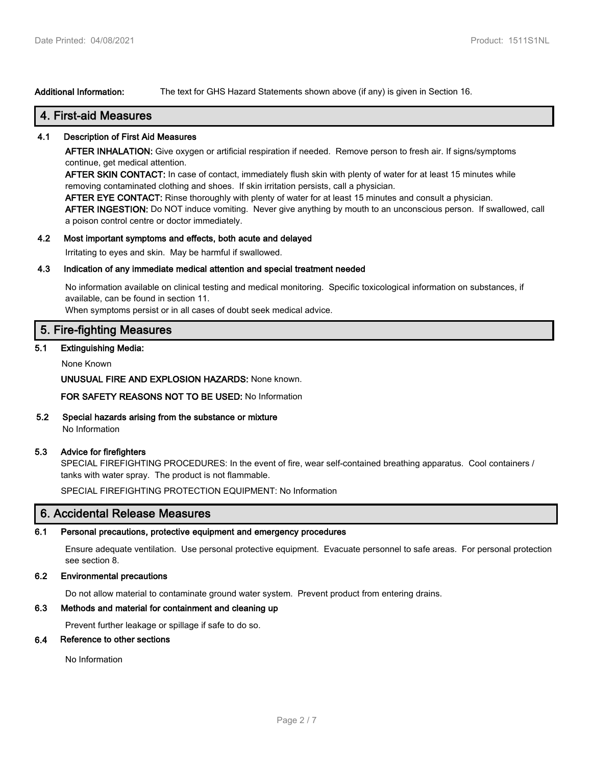**Additional Information:** The text for GHS Hazard Statements shown above (if any) is given in Section 16.

# **4. First-aid Measures**

### **4.1 Description of First Aid Measures**

**AFTER INHALATION:** Give oxygen or artificial respiration if needed. Remove person to fresh air. If signs/symptoms continue, get medical attention.

**AFTER SKIN CONTACT:** In case of contact, immediately flush skin with plenty of water for at least 15 minutes while removing contaminated clothing and shoes. If skin irritation persists, call a physician.

**AFTER EYE CONTACT:** Rinse thoroughly with plenty of water for at least 15 minutes and consult a physician.

**AFTER INGESTION:** Do NOT induce vomiting. Never give anything by mouth to an unconscious person. If swallowed, call a poison control centre or doctor immediately.

### **4.2 Most important symptoms and effects, both acute and delayed**

Irritating to eyes and skin. May be harmful if swallowed.

### **4.3 Indication of any immediate medical attention and special treatment needed**

No information available on clinical testing and medical monitoring. Specific toxicological information on substances, if available, can be found in section 11.

When symptoms persist or in all cases of doubt seek medical advice.

# **5. Fire-fighting Measures**

### **5.1 Extinguishing Media:**

None Known

**UNUSUAL FIRE AND EXPLOSION HAZARDS:** None known.

**FOR SAFETY REASONS NOT TO BE USED:** No Information

### **5.2 Special hazards arising from the substance or mixture**

No Information

### **5.3 Advice for firefighters**

SPECIAL FIREFIGHTING PROCEDURES: In the event of fire, wear self-contained breathing apparatus. Cool containers / tanks with water spray. The product is not flammable.

SPECIAL FIREFIGHTING PROTECTION EQUIPMENT: No Information

### **6. Accidental Release Measures**

### **6.1 Personal precautions, protective equipment and emergency procedures**

Ensure adequate ventilation. Use personal protective equipment. Evacuate personnel to safe areas. For personal protection see section 8.

### **6.2 Environmental precautions**

Do not allow material to contaminate ground water system. Prevent product from entering drains.

### **6.3 Methods and material for containment and cleaning up**

Prevent further leakage or spillage if safe to do so.

### **6.4 Reference to other sections**

No Information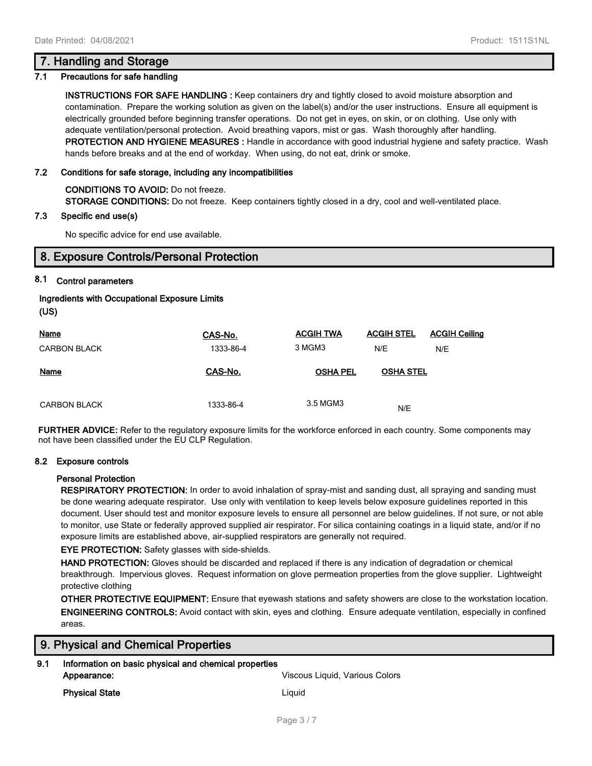### **7.1 Precautions for safe handling**

**INSTRUCTIONS FOR SAFE HANDLING :** Keep containers dry and tightly closed to avoid moisture absorption and contamination. Prepare the working solution as given on the label(s) and/or the user instructions. Ensure all equipment is electrically grounded before beginning transfer operations. Do not get in eyes, on skin, or on clothing. Use only with adequate ventilation/personal protection. Avoid breathing vapors, mist or gas. Wash thoroughly after handling. **PROTECTION AND HYGIENE MEASURES :** Handle in accordance with good industrial hygiene and safety practice. Wash hands before breaks and at the end of workday. When using, do not eat, drink or smoke.

### **7.2 Conditions for safe storage, including any incompatibilities**

# **CONDITIONS TO AVOID:** Do not freeze.

**STORAGE CONDITIONS:** Do not freeze. Keep containers tightly closed in a dry, cool and well-ventilated place.

### **7.3 Specific end use(s)**

No specific advice for end use available.

# **8. Exposure Controls/Personal Protection**

### **8.1 Control parameters**

## **Ingredients with Occupational Exposure Limits**

**(US)**

| <b>Name</b><br><b>CARBON BLACK</b> | CAS-No.<br>1333-86-4 | <b>ACGIH TWA</b><br>3 MGM3 | <b>ACGIH STEL</b><br>N/E | <b>ACGIH Ceiling</b><br>N/E |
|------------------------------------|----------------------|----------------------------|--------------------------|-----------------------------|
| <b>Name</b>                        | CAS-No.              | <b>OSHA PEL</b>            | <b>OSHA STEL</b>         |                             |
| <b>CARBON BLACK</b>                | 1333-86-4            | 3.5 MGM3                   | N/E                      |                             |

**FURTHER ADVICE:** Refer to the regulatory exposure limits for the workforce enforced in each country. Some components may not have been classified under the EU CLP Regulation.

### **8.2 Exposure controls**

### **Personal Protection**

**RESPIRATORY PROTECTION:** In order to avoid inhalation of spray-mist and sanding dust, all spraying and sanding must be done wearing adequate respirator. Use only with ventilation to keep levels below exposure guidelines reported in this document. User should test and monitor exposure levels to ensure all personnel are below guidelines. If not sure, or not able to monitor, use State or federally approved supplied air respirator. For silica containing coatings in a liquid state, and/or if no exposure limits are established above, air-supplied respirators are generally not required.

**EYE PROTECTION:** Safety glasses with side-shields.

**HAND PROTECTION:** Gloves should be discarded and replaced if there is any indication of degradation or chemical breakthrough. Impervious gloves. Request information on glove permeation properties from the glove supplier. Lightweight protective clothing

**OTHER PROTECTIVE EQUIPMENT:** Ensure that eyewash stations and safety showers are close to the workstation location. **ENGINEERING CONTROLS:** Avoid contact with skin, eyes and clothing. Ensure adequate ventilation, especially in confined areas.

# **9. Physical and Chemical Properties**

**9.1 Information on basic physical and chemical properties Appearance:** Viscous Liquid, Various Colors **Physical State** Liquid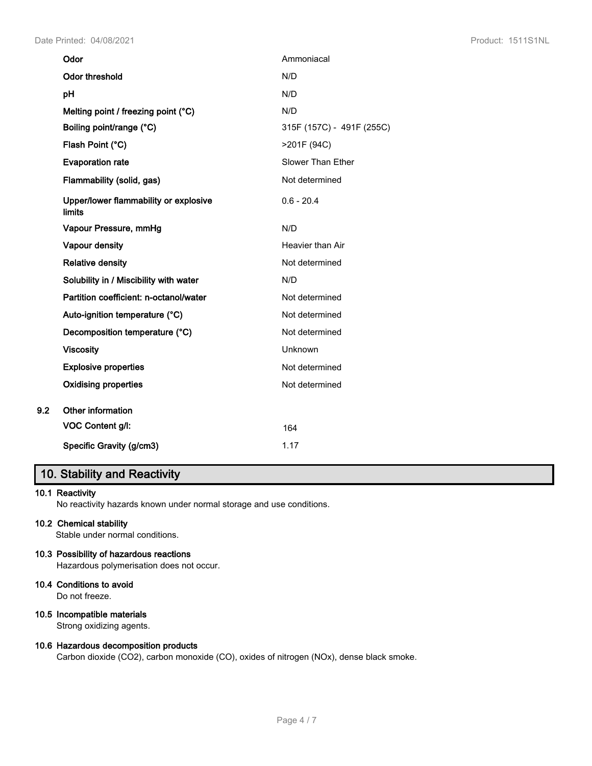| Odor                                                   | Ammoniacal                |
|--------------------------------------------------------|---------------------------|
| Odor threshold                                         | N/D                       |
| pH                                                     | N/D                       |
| Melting point / freezing point (°C)                    | N/D                       |
| Boiling point/range (°C)                               | 315F (157C) - 491F (255C) |
| Flash Point (°C)                                       | >201F (94C)               |
| <b>Evaporation rate</b>                                | Slower Than Ether         |
| Flammability (solid, gas)                              | Not determined            |
| Upper/lower flammability or explosive<br><b>limits</b> | $0.6 - 20.4$              |
| Vapour Pressure, mmHg                                  | N/D                       |
| Vapour density                                         | Heavier than Air          |
| <b>Relative density</b>                                | Not determined            |
| Solubility in / Miscibility with water                 | N/D                       |
| Partition coefficient: n-octanol/water                 | Not determined            |
| Auto-ignition temperature (°C)                         | Not determined            |
| Decomposition temperature (°C)                         | Not determined            |
| <b>Viscosity</b>                                       | Unknown                   |
| <b>Explosive properties</b>                            | Not determined            |
| <b>Oxidising properties</b>                            | Not determined            |
| Other information                                      |                           |
| VOC Content g/l:                                       | 164                       |
| Specific Gravity (g/cm3)                               | 1.17                      |

# **10. Stability and Reactivity**

### **10.1 Reactivity**

**9.2** 

No reactivity hazards known under normal storage and use conditions.

### **10.2 Chemical stability**

Stable under normal conditions.

## **10.3 Possibility of hazardous reactions**

Hazardous polymerisation does not occur.

# **10.4 Conditions to avoid**

Do not freeze.

# **10.5 Incompatible materials**

Strong oxidizing agents.

### **10.6 Hazardous decomposition products**

Carbon dioxide (CO2), carbon monoxide (CO), oxides of nitrogen (NOx), dense black smoke.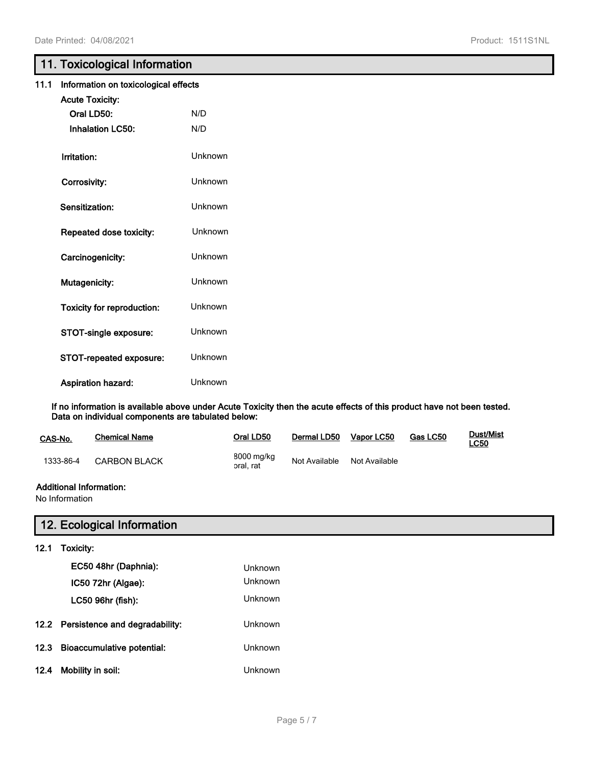# **11. Toxicological Information**

| 11.1 | Information on toxicological effects |         |  |
|------|--------------------------------------|---------|--|
|      | <b>Acute Toxicity:</b>               |         |  |
|      | Oral LD50:                           | N/D     |  |
|      | <b>Inhalation LC50:</b>              | N/D     |  |
|      | Irritation:                          | Unknown |  |
|      | Corrosivity:                         | Unknown |  |
|      | Sensitization:                       | Unknown |  |
|      | Repeated dose toxicity:              | Unknown |  |
|      | Carcinogenicity:                     | Unknown |  |
|      | Mutagenicity:                        | Unknown |  |
|      | Toxicity for reproduction:           | Unknown |  |
|      | STOT-single exposure:                | Unknown |  |
|      | STOT-repeated exposure:              | Unknown |  |
|      | Aspiration hazard:                   | Unknown |  |

**If no information is available above under Acute Toxicity then the acute effects of this product have not been tested. Data on individual components are tabulated below:**

| CAS-No.   | Chemical Name       | Oral LD50               | Dermal LD50   | Vapor LC50    | Gas LC50 | Dust/Mist<br><u>LC50</u> |
|-----------|---------------------|-------------------------|---------------|---------------|----------|--------------------------|
| 1333-86-4 | <b>CARBON BLACK</b> | 8000 mg/kg<br>oral, rat | Not Available | Not Available |          |                          |

## **Additional Information:**

No Information

# **12. Ecological Information**

- **12.1 Toxicity:**
- **EC50 48hr (Daphnia):** Unknown **IC50 72hr (Algae):** Unknown **LC50 96hr (fish):** Unknown **12.2 Persistence and degradability:** Unknown **12.3 Bioaccumulative potential:** Unknown **12.4 Mobility in soil:** Unknown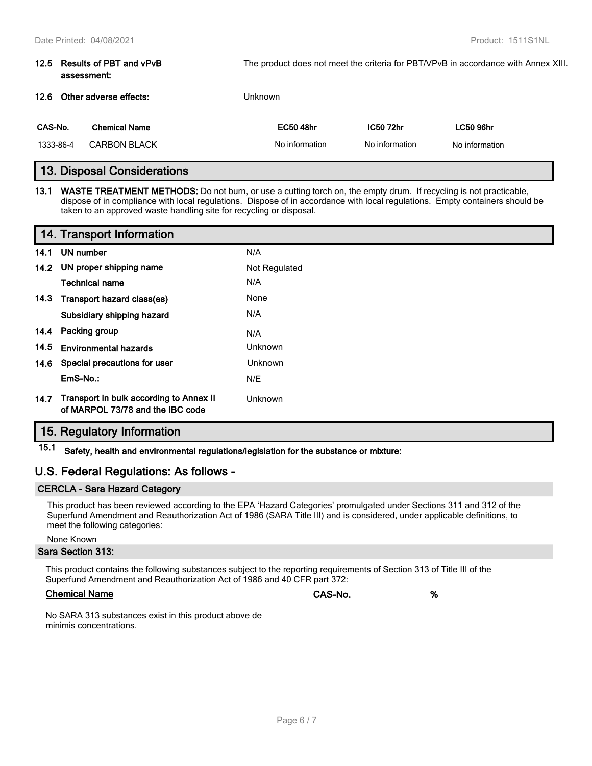|           | 12.5 Results of PBT and vPvB<br>assessment: |                             | The product does not meet the criteria for PBT/VPvB in accordance with Annex XIII. |                  |                |                  |
|-----------|---------------------------------------------|-----------------------------|------------------------------------------------------------------------------------|------------------|----------------|------------------|
|           |                                             | 12.6 Other adverse effects: | <b>Unknown</b>                                                                     |                  |                |                  |
| CAS-No.   |                                             | <b>Chemical Name</b>        |                                                                                    | <b>EC50 48hr</b> | IC50 72hr      | <b>LC50 96hr</b> |
| 1333-86-4 |                                             | <b>CARBON BLACK</b>         |                                                                                    | No information   | No information | No information   |

# **13. Disposal Considerations**

**13.1 WASTE TREATMENT METHODS:** Do not burn, or use a cutting torch on, the empty drum. If recycling is not practicable, dispose of in compliance with local regulations. Dispose of in accordance with local regulations. Empty containers should be taken to an approved waste handling site for recycling or disposal.

# **14. Transport Information 14.1 UN number** N/A **14.2 UN proper shipping name** Not Regulated **Technical name** N/A **14.3 Transport hazard class(es)** None **Subsidiary shipping hazard** N/A **14.4 Packing group** N/A **14.5 Environmental hazards Environmental hazards Unknown 14.6 Special precautions for user Unknown EmS-No.:** N/E 14.7 Transport in bulk according to Annex II Unknown **of MARPOL 73/78 and the IBC code**

# **15. Regulatory Information**

**15.1 Safety, health and environmental regulations/legislation for the substance or mixture:**

# **U.S. Federal Regulations: As follows -**

### **CERCLA - Sara Hazard Category**

This product has been reviewed according to the EPA 'Hazard Categories' promulgated under Sections 311 and 312 of the Superfund Amendment and Reauthorization Act of 1986 (SARA Title III) and is considered, under applicable definitions, to meet the following categories:

#### None Known

### **Sara Section 313:**

This product contains the following substances subject to the reporting requirements of Section 313 of Title III of the Superfund Amendment and Reauthorization Act of 1986 and 40 CFR part 372:

### **Chemical Name CAS-No. %**

No SARA 313 substances exist in this product above de minimis concentrations.